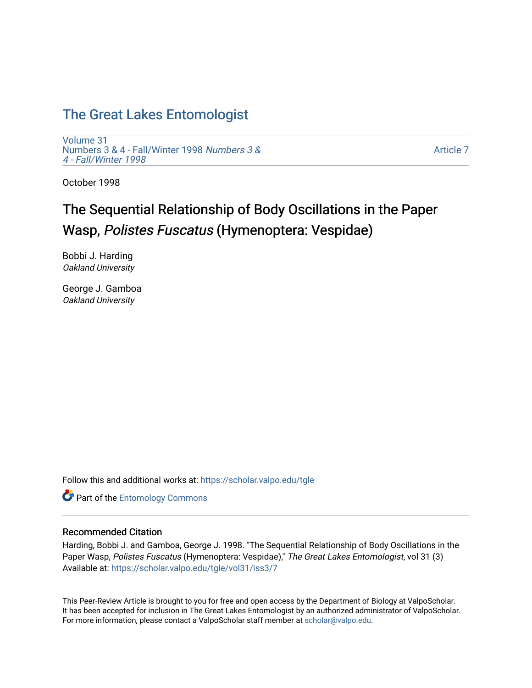# [The Great Lakes Entomologist](https://scholar.valpo.edu/tgle)

[Volume 31](https://scholar.valpo.edu/tgle/vol31) [Numbers 3 & 4 - Fall/Winter 1998](https://scholar.valpo.edu/tgle/vol31/iss3) Numbers 3 & [4 - Fall/Winter 1998](https://scholar.valpo.edu/tgle/vol31/iss3)

[Article 7](https://scholar.valpo.edu/tgle/vol31/iss3/7) 

October 1998

# The Sequential Relationship of Body Oscillations in the Paper Wasp, Polistes Fuscatus (Hymenoptera: Vespidae)

Bobbi J. Harding Oakland University

George J. Gamboa Oakland University

Follow this and additional works at: [https://scholar.valpo.edu/tgle](https://scholar.valpo.edu/tgle?utm_source=scholar.valpo.edu%2Ftgle%2Fvol31%2Fiss3%2F7&utm_medium=PDF&utm_campaign=PDFCoverPages) 

**Part of the Entomology Commons** 

# Recommended Citation

Harding, Bobbi J. and Gamboa, George J. 1998. "The Sequential Relationship of Body Oscillations in the Paper Wasp, Polistes Fuscatus (Hymenoptera: Vespidae)," The Great Lakes Entomologist, vol 31 (3) Available at: [https://scholar.valpo.edu/tgle/vol31/iss3/7](https://scholar.valpo.edu/tgle/vol31/iss3/7?utm_source=scholar.valpo.edu%2Ftgle%2Fvol31%2Fiss3%2F7&utm_medium=PDF&utm_campaign=PDFCoverPages) 

This Peer-Review Article is brought to you for free and open access by the Department of Biology at ValpoScholar. It has been accepted for inclusion in The Great Lakes Entomologist by an authorized administrator of ValpoScholar. For more information, please contact a ValpoScholar staff member at [scholar@valpo.edu](mailto:scholar@valpo.edu).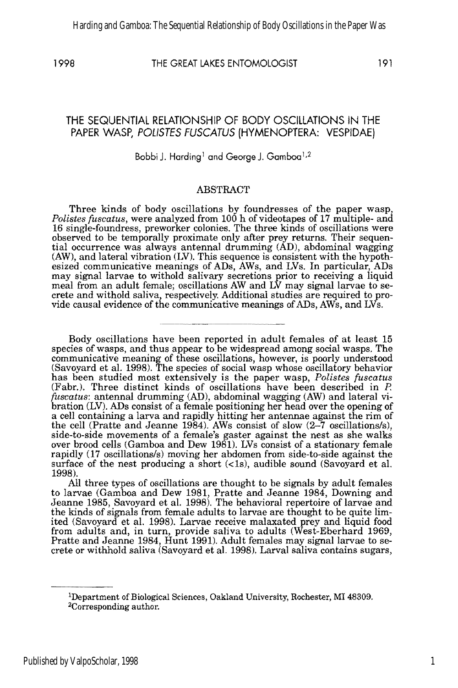# 1998 THE GREAT LAKES ENTOMOLOGIST 191

# THE SEQUENTIAL RELATIONSHIP OF BODY OSCilLATIONS IN THE PAPER WASP, POLISTES FUSCATUS (HYMENOPTERA: VESPIDAE)

# Bobbi J. Harding<sup>1</sup> and George J. Gamboa<sup>1,2</sup>

# ABSTRACT

Three kinds of body oscillations by foundresses of the paper wasp, *Polistes fuscatus,* were analyzed from 100 h of videotapes of 17 multiple- and 16 single-foundress, preworker colonies. The three kinds of oscillations were observed to be temporally proximate only after prey returns. Their sequential occurrence was always antennal drumming (AD), abdominal wagging (AW), and lateral vibration (LV). This sequence is consistent with the hypothesized communicative meanings of ADs, AWs, and LVs. In particular, ADs may signal larvae to withold salivary secretions prior to receiving a liquid meal from an adult female; oscillations AW and LV may signal larvae to secrete and withold saliva, respectively, Additional studies are required to provide causal evidence of the communicative meanings of ADs, AWs, and LVs.

Body oscillations have been reported in adult females of at least 15 species of wasps, and thus appear to be widespread among social wasps. The communicative meaning of these oscillations, however, is poorly understood (Savoyard et al. 1998), The species of social wasp whose oscillatory behavior has been studied most extensively is the paper wasp, *Polistes fuscatus*  (Fabr.). Three distinct kinds of oscillations have been described in P. *fuscatus:* antennal drumming (AD), abdominal wagging (AW) and lateral vibration (LV). ADs consist of a female positioning her head over the opening of a cell containing a larva and rapidly hitting her antennae against the rim of the cell (Pratte and Jeanne 1984). AWs consist of slow (2-7 oscillations/s), side-to-side movements of a female's gaster against the nest as she walks over brood cells (Gamboa and Dew 1981). LVs consist of a stationary female rapidly (17 oscillations/s) moving her abdomen from side-to-side against the surface of the nest producing a short  $(\langle 1s \rangle,$  audible sound  $(Savoyard et al.$ 1998).

All three types of oscillations are thought to be signals by adult females to larvae (Gamboa and Dew 1981, Pratte and Jeanne 1984, Downing and Jeanne 1985, Savoyard et al. 1998). The behavioral repertoire of larvae and the kinds of signals from female adults to larvae are thought to be quite limited (Savoyard et al. 1998), Larvae receive malaxated prey and liquid food from adults and, in turn, provide saliva to adults (West-Eberhard 1969, Pratte and Jeanne 1984, Hunt 1991). Adult females may signal larvae to secrete or withhold saliva (Savoyard et al. 1998). Larval saliva contains sugars,

lDepartment of Biological Sciences, Oakland University, Rochester, MI 48309. 2Corresponding author.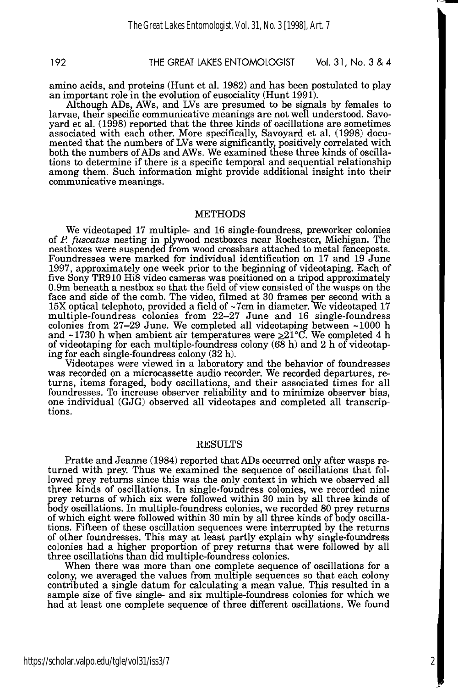# 192 THE GREAT lAKES ENTOMOLOGIST Vol. 31, No. 3 &4

amino acids, and proteins (Hunt et al. 1982) and has been postulated to play an important role in the evolution of eusociality (Hunt 1991).

Although ADs, AWs, and LVs are presumed to be signals by females to larvae, their specific communicative meanings are not well understood. Savoyard et al. (1998) reported that the three kinds of oscillations are sometimes associated with each other. More specifically, Savoyard et al. (1998) documented that the numbers of LVs were significantly, positively correlated with both the numbers of ADs and AWs. We examined these three kinds of oscillations to determine if there is a specific temporal and sequential relationship among them. Such information might provide additional insight into their communicative meanings.

### METHODS

We videotaped 17 multiple- and 16 single-foundress, preworker colonies of P. *fuscatus* nesting in plywood nestboxes near Rochester, Michigan. The nestboxes were suspended from wood crossbars attached to metal fenceposts. Foundresses were marked for individual identification on 17 and 19 June 1997, approximately one week prior to the beginning of videotaping. Each of five Sony TR910 Hi8 video cameras was positioned on a tripod approximately 0.9m beneath a nestbox so that the field of view consisted of the wasps on the face and side of the comb. The video, filmed at 30 frames per second with a 15X optical telephoto, provided a field of ~7cm in diameter. We videotaped 17 multiple-foundress colonies from 22-27 June and 16 single-foundress colonies from 27-29 June. We completed all videotaping between -1000 h and ~1730 h when ambient air temperatures were  $\geq 21^{\circ}$ C. We completed 4 h of videotaping for each multiple-foundress colony  $(68 h)$  and 2 h of videotaping for each single-foundress colony (32 h).

Videotapes were viewed in a laboratory and the behavior of foundresses was recorded on a microcassette audio recorder. We recorded departures, returns, items foraged, body oscillations, and their associated times for all foundresses. To increase observer reliability and to minimize observer bias, one individual (GJG) observed all videotapes and completed all transcriptions.

### RESULTS

Pratte and Jeanne (1984) reported that ADs occurred only after wasps returned with prey. Thus we examined the sequence of oscillations that followed prey returns since this was the only context in which we observed all three kinds of oscillations. In single-foundress colonies, we recorded nine prey returns of which six were followed within 30 min by all three kinds of body oscillations. In multiple-foundress colonies, we recorded 80 prey returns of which eight were followed within 30 min by all three kinds of body oscillations. Fifteen of these oscillation sequences were interrupted by the returns of other foundresses. This may at least partly explain why single-foundress colonies had a higher proportion of prey returns that were followed by all three oscillations than did multiple-foundress colonies.

When there was more than one complete sequence of oscillations for a colony, we averaged the values from multiple sequences so that each colony contributed a single datum for calculating a mean value. This resulted in a sample size of five single- and six multiple-foundress colonies for which we had at least one complete sequence of three different oscillations. We found

2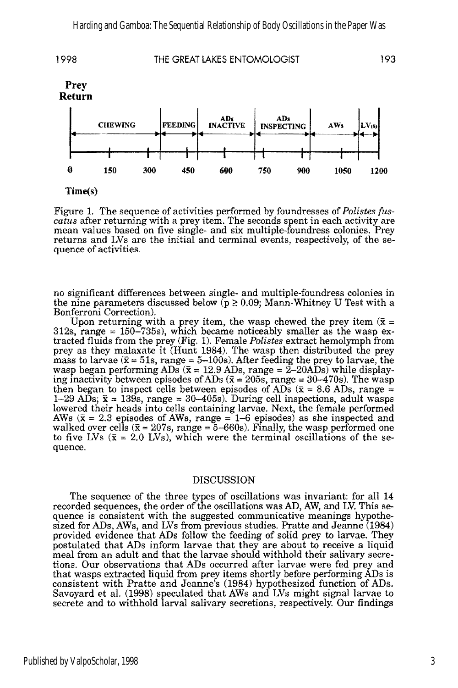

Time(s)

Figure 1. The sequence of activities performed by foundresses of *Polistes {uscatus* after returning with a prey item. The seconds spent in each activity are mean values based on five single- and six multiple-foundress colonies. Prey returns and LVs are the initial and terminal events, respectively, of the sequence of activities.

no significant differences between single- and multiple-foundress colonies in the nine parameters discussed below ( $p \ge 0.09$ ; Mann-Whitney U Test with a Bonferroni Correction).

Upon returning with a prey item, the wasp chewed the prey item  $(\bar{x} =$ 312s, range = 150-735s), which became noticeably smaller as the wasp extracted fluids from the prey (Fig. 1). Female *Polistes* extract hemolymph from prey as they malaxate it (Hunt 1984). The wasp then distributed the prey mass to larvae ( $\bar{x} = 51$ s, range = 5-100s). After feeding the prey to larvae, the wasp began performing ADs  $(\bar{x} = 12.9 \text{ ADs}, \text{range} = 2-20 \text{ADs})$  while displaying inactivity between episodes of ADs ( $\bar{x} = 205$ s, range = 30-470s). The wasp then began to inspect cells between episodes of ADs ( $\bar{x}$  = 8.6 ADs, range = 1-29 ADs;  $\bar{x}$  = 139s, range = 30-405s). During cell inspections, adult wasps lowered their heads into cells containing larvae. Next, the female performed AWs ( $\bar{x}$  = 2.3 episodes of AWs, range = 1-6 episodes) as she inspected and walked over cells ( $\bar{x} = 207s$ , range = 5-660s). Finally, the wasp performed one to five LVs  $(\bar{x} = 2.0 \text{ LVs})$ , which were the terminal oscillations of the sequence.

## DISCUSSION

The sequence of the three types of oscillations was invariant: for all 14 recorded sequences, the order of the oscillations was AD, AW, and LV. This sequence is consistent with the suggested communicative meanings hypothesized for ADs, AWs, and LVs from previous studies. Pratte and Jeanne (1984) provided evidence that ADs follow the feeding of solid prey to larvae. They postulated that ADs inform larvae that they are about to receive a liquid meal from an adult and that the larvae should withhold their salivary secretions. Our observations that ADs occurred after larvae were fed prey and that wasps extracted liquid from prey items shortly before performing ADs is consistent with Pratte and Jeanne's (1984) hypothesized function of ADs. Savoyard et al. (1998) speculated that AWs and LVs might signal larvae to secrete and to withhold larval salivary secretions, respectively. Our findings